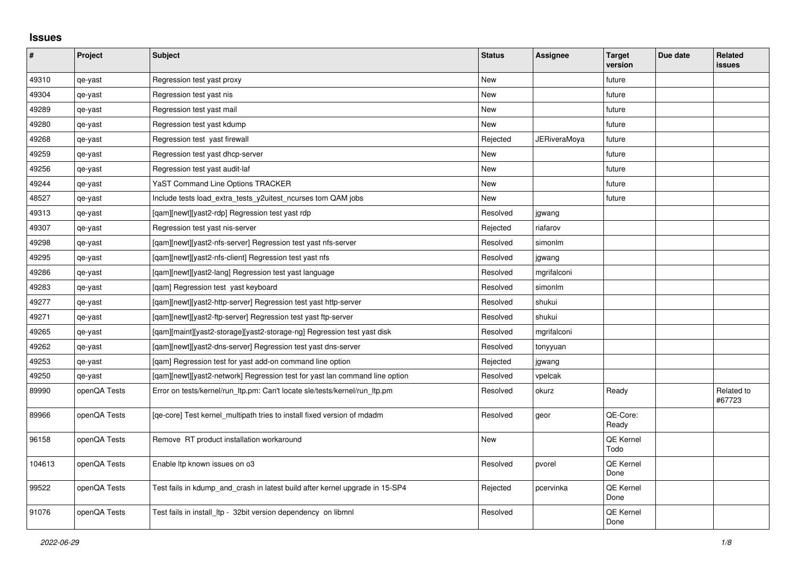## **Issues**

| $\sharp$ | Project      | <b>Subject</b>                                                               | <b>Status</b> | <b>Assignee</b> | <b>Target</b><br>version | Due date | Related<br>issues    |
|----------|--------------|------------------------------------------------------------------------------|---------------|-----------------|--------------------------|----------|----------------------|
| 49310    | qe-yast      | Regression test yast proxy                                                   | <b>New</b>    |                 | future                   |          |                      |
| 49304    | qe-yast      | Regression test yast nis                                                     | New           |                 | future                   |          |                      |
| 49289    | qe-yast      | Regression test yast mail                                                    | <b>New</b>    |                 | future                   |          |                      |
| 49280    | qe-yast      | Regression test yast kdump                                                   | New           |                 | future                   |          |                      |
| 49268    | qe-yast      | Regression test yast firewall                                                | Rejected      | JERiveraMoya    | future                   |          |                      |
| 49259    | qe-yast      | Regression test yast dhcp-server                                             | <b>New</b>    |                 | future                   |          |                      |
| 49256    | qe-yast      | Regression test yast audit-laf                                               | New           |                 | future                   |          |                      |
| 49244    | qe-yast      | <b>YaST Command Line Options TRACKER</b>                                     | New           |                 | future                   |          |                      |
| 48527    | qe-yast      | Include tests load_extra_tests_y2uitest_ncurses tom QAM jobs                 | <b>New</b>    |                 | future                   |          |                      |
| 49313    | qe-yast      | [gam][newt][yast2-rdp] Regression test yast rdp                              | Resolved      | jgwang          |                          |          |                      |
| 49307    | qe-yast      | Regression test yast nis-server                                              | Rejected      | riafarov        |                          |          |                      |
| 49298    | qe-yast      | [gam][newt][yast2-nfs-server] Regression test yast nfs-server                | Resolved      | simonlm         |                          |          |                      |
| 49295    | qe-yast      | [qam][newt][yast2-nfs-client] Regression test yast nfs                       | Resolved      | jgwang          |                          |          |                      |
| 49286    | qe-yast      | [qam][newt][yast2-lang] Regression test yast language                        | Resolved      | mgrifalconi     |                          |          |                      |
| 49283    | qe-yast      | [qam] Regression test yast keyboard                                          | Resolved      | simonlm         |                          |          |                      |
| 49277    | qe-yast      | [qam][newt][yast2-http-server] Regression test yast http-server              | Resolved      | shukui          |                          |          |                      |
| 49271    | qe-yast      | [qam][newt][yast2-ftp-server] Regression test yast ftp-server                | Resolved      | shukui          |                          |          |                      |
| 49265    | qe-yast      | [qam][maint][yast2-storage][yast2-storage-ng] Regression test yast disk      | Resolved      | mgrifalconi     |                          |          |                      |
| 49262    | qe-yast      | [qam][newt][yast2-dns-server] Regression test yast dns-server                | Resolved      | tonyyuan        |                          |          |                      |
| 49253    | qe-yast      | [gam] Regression test for yast add-on command line option                    | Rejected      | jgwang          |                          |          |                      |
| 49250    | qe-yast      | [gam][newt][yast2-network] Regression test for yast lan command line option  | Resolved      | vpelcak         |                          |          |                      |
| 89990    | openQA Tests | Error on tests/kernel/run_ltp.pm: Can't locate sle/tests/kernel/run_ltp.pm   | Resolved      | okurz           | Ready                    |          | Related to<br>#67723 |
| 89966    | openQA Tests | [qe-core] Test kernel_multipath tries to install fixed version of mdadm      | Resolved      | geor            | QE-Core:<br>Ready        |          |                      |
| 96158    | openQA Tests | Remove RT product installation workaround                                    | <b>New</b>    |                 | QE Kernel<br>Todo        |          |                      |
| 104613   | openQA Tests | Enable Itp known issues on o3                                                | Resolved      | pvorel          | QE Kernel<br>Done        |          |                      |
| 99522    | openQA Tests | Test fails in kdump_and_crash in latest build after kernel upgrade in 15-SP4 | Rejected      | pcervinka       | QE Kernel<br>Done        |          |                      |
| 91076    | openQA Tests | Test fails in install Itp - 32bit version dependency on libmnl               | Resolved      |                 | QE Kernel<br>Done        |          |                      |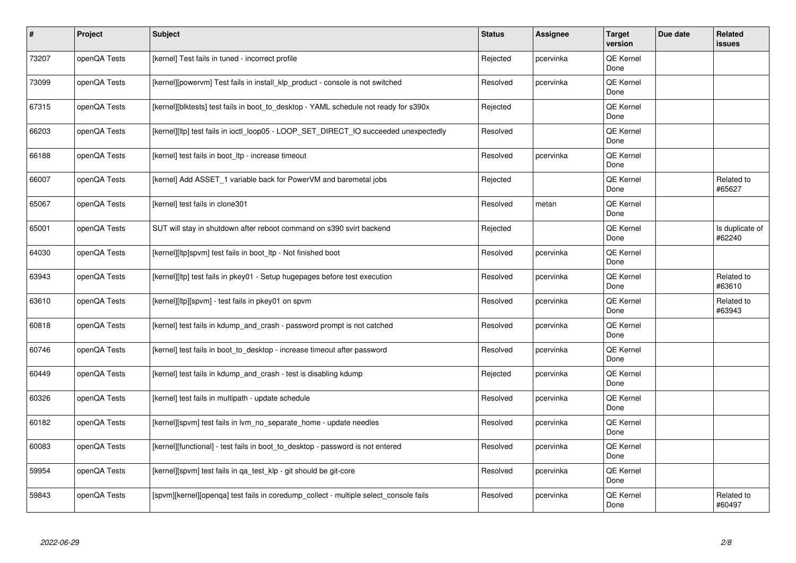| $\vert$ # | Project      | <b>Subject</b>                                                                        | <b>Status</b> | <b>Assignee</b> | <b>Target</b><br>version | Due date | Related<br><b>issues</b>  |
|-----------|--------------|---------------------------------------------------------------------------------------|---------------|-----------------|--------------------------|----------|---------------------------|
| 73207     | openQA Tests | [kernel] Test fails in tuned - incorrect profile                                      | Rejected      | pcervinka       | <b>QE Kernel</b><br>Done |          |                           |
| 73099     | openQA Tests | [kernel][powervm] Test fails in install_klp_product - console is not switched         | Resolved      | pcervinka       | QE Kernel<br>Done        |          |                           |
| 67315     | openQA Tests | [kernel][blktests] test fails in boot to desktop - YAML schedule not ready for s390x  | Rejected      |                 | QE Kernel<br>Done        |          |                           |
| 66203     | openQA Tests | [kernel][ltp] test fails in ioctl_loop05 - LOOP_SET_DIRECT_IO succeeded unexpectedly  | Resolved      |                 | <b>QE Kernel</b><br>Done |          |                           |
| 66188     | openQA Tests | [kernel] test fails in boot Itp - increase timeout                                    | Resolved      | pcervinka       | QE Kernel<br>Done        |          |                           |
| 66007     | openQA Tests | [kernel] Add ASSET 1 variable back for PowerVM and baremetal jobs                     | Rejected      |                 | QE Kernel<br>Done        |          | Related to<br>#65627      |
| 65067     | openQA Tests | [kernel] test fails in clone301                                                       | Resolved      | metan           | <b>QE Kernel</b><br>Done |          |                           |
| 65001     | openQA Tests | SUT will stay in shutdown after reboot command on s390 svirt backend                  | Rejected      |                 | QE Kernel<br>Done        |          | Is duplicate of<br>#62240 |
| 64030     | openQA Tests | [kernel][ltp]spvm] test fails in boot_ltp - Not finished boot                         | Resolved      | pcervinka       | <b>QE Kernel</b><br>Done |          |                           |
| 63943     | openQA Tests | [kernel][ltp] test fails in pkey01 - Setup hugepages before test execution            | Resolved      | pcervinka       | QE Kernel<br>Done        |          | Related to<br>#63610      |
| 63610     | openQA Tests | [kernel][ltp][spvm] - test fails in pkey01 on spvm                                    | Resolved      | pcervinka       | <b>QE Kernel</b><br>Done |          | Related to<br>#63943      |
| 60818     | openQA Tests | [kernel] test fails in kdump and crash - password prompt is not catched               | Resolved      | pcervinka       | QE Kernel<br>Done        |          |                           |
| 60746     | openQA Tests | [kernel] test fails in boot_to_desktop - increase timeout after password              | Resolved      | pcervinka       | <b>QE Kernel</b><br>Done |          |                           |
| 60449     | openQA Tests | [kernel] test fails in kdump and crash - test is disabling kdump                      | Rejected      | pcervinka       | QE Kernel<br>Done        |          |                           |
| 60326     | openQA Tests | [kernel] test fails in multipath - update schedule                                    | Resolved      | pcervinka       | QE Kernel<br>Done        |          |                           |
| 60182     | openQA Tests | [kernel][spvm] test fails in lvm no separate home - update needles                    | Resolved      | pcervinka       | QE Kernel<br>Done        |          |                           |
| 60083     | openQA Tests | [kernel][functional] - test fails in boot_to_desktop - password is not entered        | Resolved      | pcervinka       | <b>QE Kernel</b><br>Done |          |                           |
| 59954     | openQA Tests | [kernel][spvm] test fails in qa_test_klp - git should be git-core                     | Resolved      | pcervinka       | QE Kernel<br>Done        |          |                           |
| 59843     | openQA Tests | [spvm][kernel][openga] test fails in coredump collect - multiple select console fails | Resolved      | pcervinka       | QE Kernel<br>Done        |          | Related to<br>#60497      |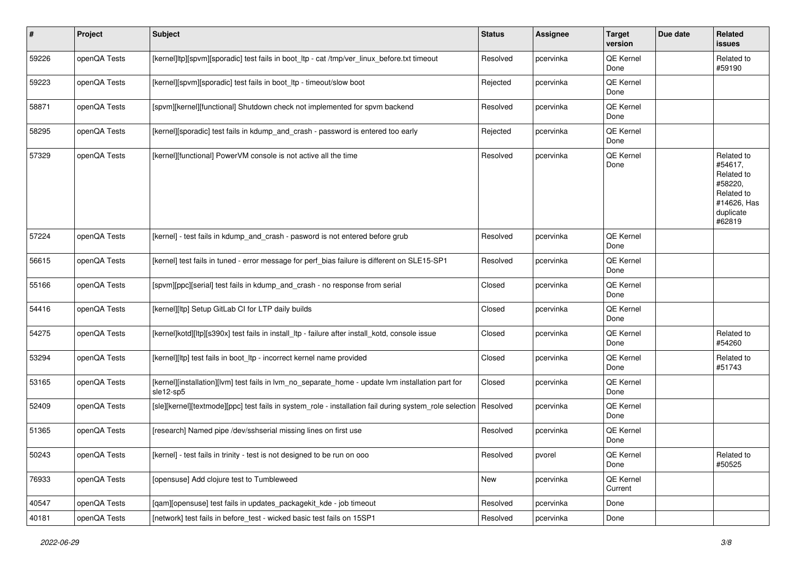| $\vert$ # | Project      | Subject                                                                                                        | <b>Status</b> | Assignee  | <b>Target</b><br>version | Due date | Related<br>issues                                                                                  |
|-----------|--------------|----------------------------------------------------------------------------------------------------------------|---------------|-----------|--------------------------|----------|----------------------------------------------------------------------------------------------------|
| 59226     | openQA Tests | [kernel]ltp][spvm][sporadic] test fails in boot_ltp - cat /tmp/ver_linux_before.txt timeout                    | Resolved      | pcervinka | QE Kernel<br>Done        |          | Related to<br>#59190                                                                               |
| 59223     | openQA Tests | [kernel][spvm][sporadic] test fails in boot_ltp - timeout/slow boot                                            | Rejected      | pcervinka | QE Kernel<br>Done        |          |                                                                                                    |
| 58871     | openQA Tests | [spvm][kernel][functional] Shutdown check not implemented for spvm backend                                     | Resolved      | pcervinka | QE Kernel<br>Done        |          |                                                                                                    |
| 58295     | openQA Tests | [kernel][sporadic] test fails in kdump_and_crash - password is entered too early                               | Rejected      | pcervinka | QE Kernel<br>Done        |          |                                                                                                    |
| 57329     | openQA Tests | [kernel][functional] PowerVM console is not active all the time                                                | Resolved      | pcervinka | QE Kernel<br>Done        |          | Related to<br>#54617,<br>Related to<br>#58220,<br>Related to<br>#14626, Has<br>duplicate<br>#62819 |
| 57224     | openQA Tests | [kernel] - test fails in kdump_and_crash - pasword is not entered before grub                                  | Resolved      | pcervinka | QE Kernel<br>Done        |          |                                                                                                    |
| 56615     | openQA Tests | [kernel] test fails in tuned - error message for perf_bias failure is different on SLE15-SP1                   | Resolved      | pcervinka | QE Kernel<br>Done        |          |                                                                                                    |
| 55166     | openQA Tests | [spvm][ppc][serial] test fails in kdump_and_crash - no response from serial                                    | Closed        | pcervinka | QE Kernel<br>Done        |          |                                                                                                    |
| 54416     | openQA Tests | [kernel][ltp] Setup GitLab CI for LTP daily builds                                                             | Closed        | pcervinka | QE Kernel<br>Done        |          |                                                                                                    |
| 54275     | openQA Tests | [kernel]kotd][ltp][s390x] test fails in install_ltp - failure after install_kotd, console issue                | Closed        | pcervinka | QE Kernel<br>Done        |          | Related to<br>#54260                                                                               |
| 53294     | openQA Tests | [kernel][ltp] test fails in boot_ltp - incorrect kernel name provided                                          | Closed        | pcervinka | QE Kernel<br>Done        |          | Related to<br>#51743                                                                               |
| 53165     | openQA Tests | [kernel][installation][lvm] test fails in lvm_no_separate_home - update lvm installation part for<br>sle12-sp5 | Closed        | pcervinka | QE Kernel<br>Done        |          |                                                                                                    |
| 52409     | openQA Tests | [sle][kernel][textmode][ppc] test fails in system_role - installation fail during system_role selection        | Resolved      | pcervinka | QE Kernel<br>Done        |          |                                                                                                    |
| 51365     | openQA Tests | [research] Named pipe /dev/sshserial missing lines on first use                                                | Resolved      | pcervinka | QE Kernel<br>Done        |          |                                                                                                    |
| 50243     | openQA Tests | [kernel] - test fails in trinity - test is not designed to be run on ooo                                       | Resolved      | pvorel    | QE Kernel<br>Done        |          | Related to<br>#50525                                                                               |
| 76933     | openQA Tests | [opensuse] Add clojure test to Tumbleweed                                                                      | New           | pcervinka | QE Kernel<br>Current     |          |                                                                                                    |
| 40547     | openQA Tests | [qam][opensuse] test fails in updates_packagekit_kde - job timeout                                             | Resolved      | pcervinka | Done                     |          |                                                                                                    |
| 40181     | openQA Tests | [network] test fails in before_test - wicked basic test fails on 15SP1                                         | Resolved      | pcervinka | Done                     |          |                                                                                                    |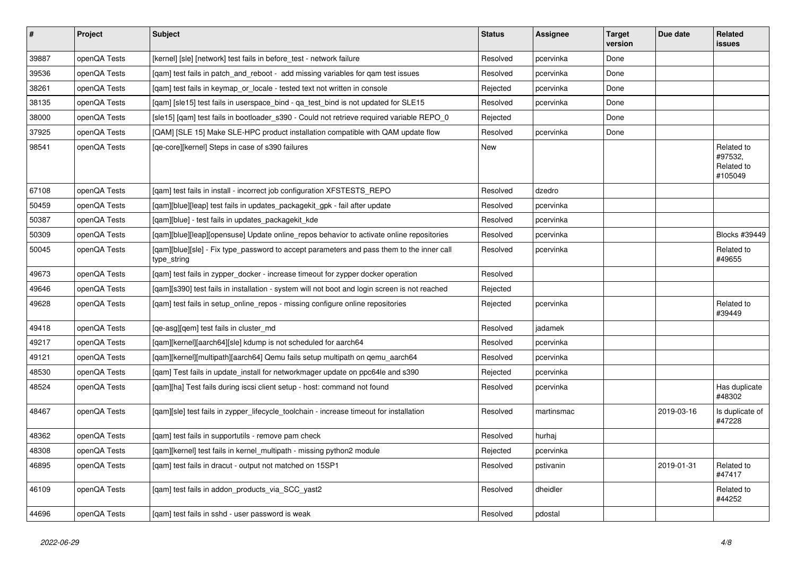| $\vert$ # | <b>Project</b> | <b>Subject</b>                                                                                           | <b>Status</b> | <b>Assignee</b> | <b>Target</b><br>version | Due date   | Related<br>issues                              |
|-----------|----------------|----------------------------------------------------------------------------------------------------------|---------------|-----------------|--------------------------|------------|------------------------------------------------|
| 39887     | openQA Tests   | [kernel] [sle] [network] test fails in before_test - network failure                                     | Resolved      | pcervinka       | Done                     |            |                                                |
| 39536     | openQA Tests   | [gam] test fails in patch and reboot - add missing variables for gam test issues                         | Resolved      | pcervinka       | Done                     |            |                                                |
| 38261     | openQA Tests   | [gam] test fails in keymap or locale - tested text not written in console                                | Rejected      | pcervinka       | Done                     |            |                                                |
| 38135     | openQA Tests   | [gam] [sle15] test fails in userspace bind - ga test bind is not updated for SLE15                       | Resolved      | pcervinka       | Done                     |            |                                                |
| 38000     | openQA Tests   | [sle15] [qam] test fails in bootloader_s390 - Could not retrieve required variable REPO_0                | Rejected      |                 | Done                     |            |                                                |
| 37925     | openQA Tests   | [QAM] [SLE 15] Make SLE-HPC product installation compatible with QAM update flow                         | Resolved      | pcervinka       | Done                     |            |                                                |
| 98541     | openQA Tests   | [qe-core][kernel] Steps in case of s390 failures                                                         | <b>New</b>    |                 |                          |            | Related to<br>#97532,<br>Related to<br>#105049 |
| 67108     | openQA Tests   | [gam] test fails in install - incorrect job configuration XFSTESTS REPO                                  | Resolved      | dzedro          |                          |            |                                                |
| 50459     | openQA Tests   | [qam][blue][leap] test fails in updates_packagekit_gpk - fail after update                               | Resolved      | pcervinka       |                          |            |                                                |
| 50387     | openQA Tests   | [gam][blue] - test fails in updates packagekit kde                                                       | Resolved      | pcervinka       |                          |            |                                                |
| 50309     | openQA Tests   | [gam][blue][leap][opensuse] Update online repos behavior to activate online repositories                 | Resolved      | pcervinka       |                          |            | <b>Blocks #39449</b>                           |
| 50045     | openQA Tests   | [gam][blue][sle] - Fix type password to accept parameters and pass them to the inner call<br>type_string | Resolved      | pcervinka       |                          |            | Related to<br>#49655                           |
| 49673     | openQA Tests   | [gam] test fails in zypper docker - increase timeout for zypper docker operation                         | Resolved      |                 |                          |            |                                                |
| 49646     | openQA Tests   | [qam][s390] test fails in installation - system will not boot and login screen is not reached            | Rejected      |                 |                          |            |                                                |
| 49628     | openQA Tests   | [qam] test fails in setup_online_repos - missing configure online repositories                           | Rejected      | pcervinka       |                          |            | Related to<br>#39449                           |
| 49418     | openQA Tests   | [ge-asg][gem] test fails in cluster md                                                                   | Resolved      | jadamek         |                          |            |                                                |
| 49217     | openQA Tests   | [gam][kernel][aarch64][sle] kdump is not scheduled for aarch64                                           | Resolved      | pcervinka       |                          |            |                                                |
| 49121     | openQA Tests   | [gam][kernel][multipath][aarch64] Qemu fails setup multipath on gemu aarch64                             | Resolved      | pcervinka       |                          |            |                                                |
| 48530     | openQA Tests   | [qam] Test fails in update_install for networkmager update on ppc64le and s390                           | Rejected      | pcervinka       |                          |            |                                                |
| 48524     | openQA Tests   | [qam][ha] Test fails during iscsi client setup - host: command not found                                 | Resolved      | pcervinka       |                          |            | Has duplicate<br>#48302                        |
| 48467     | openQA Tests   | [qam][sle] test fails in zypper_lifecycle_toolchain - increase timeout for installation                  | Resolved      | martinsmac      |                          | 2019-03-16 | Is duplicate of<br>#47228                      |
| 48362     | openQA Tests   | [gam] test fails in supportutils - remove pam check                                                      | Resolved      | hurhai          |                          |            |                                                |
| 48308     | openQA Tests   | [gam][kernel] test fails in kernel multipath - missing python2 module                                    | Rejected      | pcervinka       |                          |            |                                                |
| 46895     | openQA Tests   | [gam] test fails in dracut - output not matched on 15SP1                                                 | Resolved      | pstivanin       |                          | 2019-01-31 | Related to<br>#47417                           |
| 46109     | openQA Tests   | [qam] test fails in addon_products_via_SCC_yast2                                                         | Resolved      | dheidler        |                          |            | Related to<br>#44252                           |
| 44696     | openQA Tests   | [qam] test fails in sshd - user password is weak                                                         | Resolved      | pdostal         |                          |            |                                                |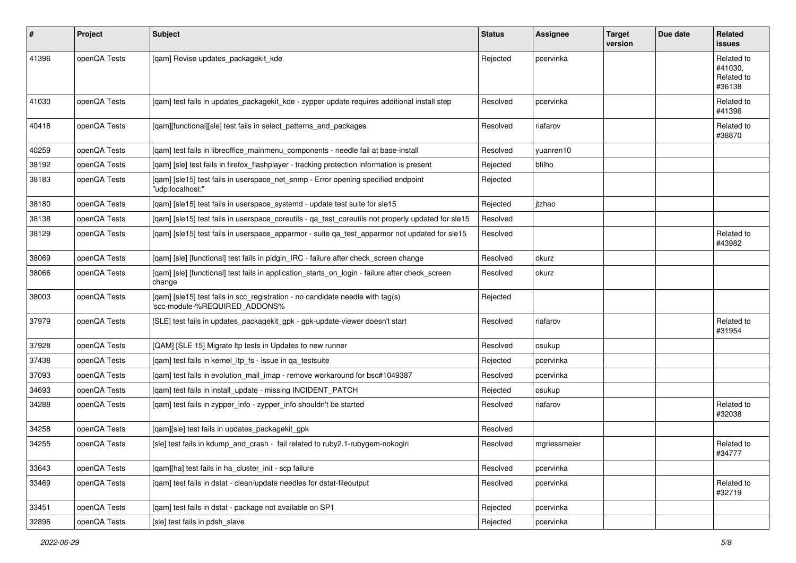| #     | Project      | <b>Subject</b>                                                                                                  | <b>Status</b> | <b>Assignee</b> | <b>Target</b><br>version | Due date | <b>Related</b><br>issues                      |
|-------|--------------|-----------------------------------------------------------------------------------------------------------------|---------------|-----------------|--------------------------|----------|-----------------------------------------------|
| 41396 | openQA Tests | [qam] Revise updates_packagekit_kde                                                                             | Rejected      | pcervinka       |                          |          | Related to<br>#41030.<br>Related to<br>#36138 |
| 41030 | openQA Tests | [qam] test fails in updates_packagekit_kde - zypper update requires additional install step                     | Resolved      | pcervinka       |                          |          | Related to<br>#41396                          |
| 40418 | openQA Tests | [qam][functional][sle] test fails in select_patterns_and_packages                                               | Resolved      | riafarov        |                          |          | Related to<br>#38870                          |
| 40259 | openQA Tests | [gam] test fails in libreoffice mainmenu components - needle fail at base-install                               | Resolved      | vuanren10       |                          |          |                                               |
| 38192 | openQA Tests | [qam] [sle] test fails in firefox_flashplayer - tracking protection information is present                      | Rejected      | bfilho          |                          |          |                                               |
| 38183 | openQA Tests | [qam] [sle15] test fails in userspace_net_snmp - Error opening specified endpoint<br>"udp:localhost:"           | Rejected      |                 |                          |          |                                               |
| 38180 | openQA Tests | [qam] [sle15] test fails in userspace_systemd - update test suite for sle15                                     | Rejected      | itzhao          |                          |          |                                               |
| 38138 | openQA Tests | [qam] [sle15] test fails in userspace_coreutils - qa_test_coreutils not properly updated for sle15              | Resolved      |                 |                          |          |                                               |
| 38129 | openQA Tests | [qam] [sle15] test fails in userspace_apparmor - suite qa_test_apparmor not updated for sle15                   | Resolved      |                 |                          |          | Related to<br>#43982                          |
| 38069 | openQA Tests | [qam] [sle] [functional] test fails in pidgin_IRC - failure after check_screen change                           | Resolved      | okurz           |                          |          |                                               |
| 38066 | openQA Tests | [qam] [sle] [functional] test fails in application_starts_on_login - failure after check_screen<br>change       | Resolved      | okurz           |                          |          |                                               |
| 38003 | openQA Tests | [qam] [sle15] test fails in scc_registration - no candidate needle with tag(s)<br>'scc-module-%REQUIRED_ADDONS% | Rejected      |                 |                          |          |                                               |
| 37979 | openQA Tests | [SLE] test fails in updates_packagekit_gpk - gpk-update-viewer doesn't start                                    | Resolved      | riafarov        |                          |          | Related to<br>#31954                          |
| 37928 | openQA Tests | [QAM] [SLE 15] Migrate Itp tests in Updates to new runner                                                       | Resolved      | osukup          |                          |          |                                               |
| 37438 | openQA Tests | [qam] test fails in kernel_ltp_fs - issue in qa_testsuite                                                       | Rejected      | pcervinka       |                          |          |                                               |
| 37093 | openQA Tests | [qam] test fails in evolution_mail_imap - remove workaround for bsc#1049387                                     | Resolved      | pcervinka       |                          |          |                                               |
| 34693 | openQA Tests | [qam] test fails in install_update - missing INCIDENT_PATCH                                                     | Rejected      | osukup          |                          |          |                                               |
| 34288 | openQA Tests | [qam] test fails in zypper_info - zypper_info shouldn't be started                                              | Resolved      | riafarov        |                          |          | Related to<br>#32038                          |
| 34258 | openQA Tests | [gam][sle] test fails in updates packagekit gpk                                                                 | Resolved      |                 |                          |          |                                               |
| 34255 | openQA Tests | [sle] test fails in kdump_and_crash - fail related to ruby2.1-rubygem-nokogiri                                  | Resolved      | mgriessmeier    |                          |          | Related to<br>#34777                          |
| 33643 | openQA Tests | [qam][ha] test fails in ha_cluster_init - scp failure                                                           | Resolved      | pcervinka       |                          |          |                                               |
| 33469 | openQA Tests | [gam] test fails in dstat - clean/update needles for dstat-fileoutput                                           | Resolved      | pcervinka       |                          |          | Related to<br>#32719                          |
| 33451 | openQA Tests | [qam] test fails in dstat - package not available on SP1                                                        | Rejected      | pcervinka       |                          |          |                                               |
| 32896 | openQA Tests | [sle] test fails in pdsh slave                                                                                  | Rejected      | pcervinka       |                          |          |                                               |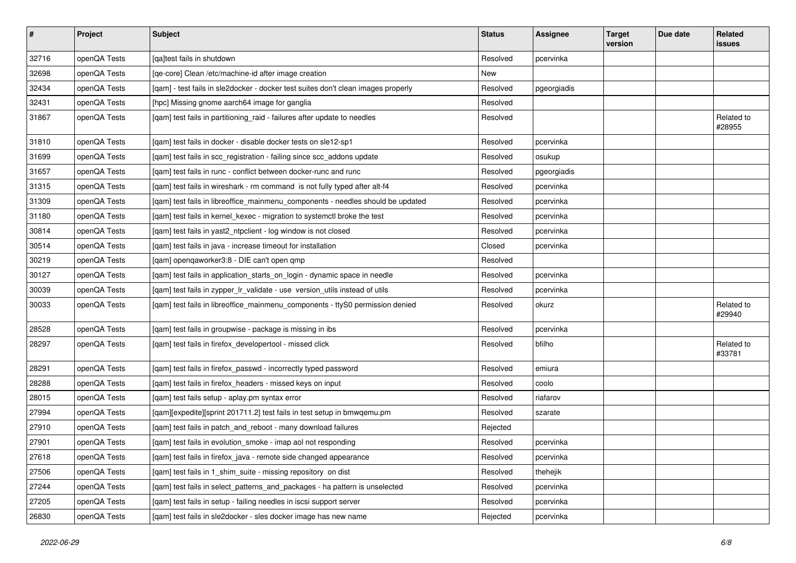| $\vert$ # | Project      | Subject                                                                           | <b>Status</b> | Assignee    | <b>Target</b><br>version | Due date | Related<br>issues    |
|-----------|--------------|-----------------------------------------------------------------------------------|---------------|-------------|--------------------------|----------|----------------------|
| 32716     | openQA Tests | [qa]test fails in shutdown                                                        | Resolved      | pcervinka   |                          |          |                      |
| 32698     | openQA Tests | [ge-core] Clean /etc/machine-id after image creation                              | New           |             |                          |          |                      |
| 32434     | openQA Tests | [qam] - test fails in sle2docker - docker test suites don't clean images properly | Resolved      | pgeorgiadis |                          |          |                      |
| 32431     | openQA Tests | [hpc] Missing gnome aarch64 image for ganglia                                     | Resolved      |             |                          |          |                      |
| 31867     | openQA Tests | [qam] test fails in partitioning_raid - failures after update to needles          | Resolved      |             |                          |          | Related to<br>#28955 |
| 31810     | openQA Tests | [qam] test fails in docker - disable docker tests on sle12-sp1                    | Resolved      | pcervinka   |                          |          |                      |
| 31699     | openQA Tests | [qam] test fails in scc_registration - failing since scc_addons update            | Resolved      | osukup      |                          |          |                      |
| 31657     | openQA Tests | [qam] test fails in runc - conflict between docker-runc and runc                  | Resolved      | pgeorgiadis |                          |          |                      |
| 31315     | openQA Tests | [gam] test fails in wireshark - rm command is not fully typed after alt-f4        | Resolved      | pcervinka   |                          |          |                      |
| 31309     | openQA Tests | [qam] test fails in libreoffice_mainmenu_components - needles should be updated   | Resolved      | pcervinka   |                          |          |                      |
| 31180     | openQA Tests | [qam] test fails in kernel_kexec - migration to systemctl broke the test          | Resolved      | pcervinka   |                          |          |                      |
| 30814     | openQA Tests | [qam] test fails in yast2_ntpclient - log window is not closed                    | Resolved      | pcervinka   |                          |          |                      |
| 30514     | openQA Tests | [qam] test fails in java - increase timeout for installation                      | Closed        | pcervinka   |                          |          |                      |
| 30219     | openQA Tests | [qam] openqaworker3:8 - DIE can't open qmp                                        | Resolved      |             |                          |          |                      |
| 30127     | openQA Tests | [qam] test fails in application_starts_on_login - dynamic space in needle         | Resolved      | pcervinka   |                          |          |                      |
| 30039     | openQA Tests | [qam] test fails in zypper_lr_validate - use version_utils instead of utils       | Resolved      | pcervinka   |                          |          |                      |
| 30033     | openQA Tests | [qam] test fails in libreoffice_mainmenu_components - ttyS0 permission denied     | Resolved      | okurz       |                          |          | Related to<br>#29940 |
| 28528     | openQA Tests | [qam] test fails in groupwise - package is missing in ibs                         | Resolved      | pcervinka   |                          |          |                      |
| 28297     | openQA Tests | [qam] test fails in firefox_developertool - missed click                          | Resolved      | bfilho      |                          |          | Related to<br>#33781 |
| 28291     | openQA Tests | [qam] test fails in firefox_passwd - incorrectly typed password                   | Resolved      | emiura      |                          |          |                      |
| 28288     | openQA Tests | [qam] test fails in firefox_headers - missed keys on input                        | Resolved      | coolo       |                          |          |                      |
| 28015     | openQA Tests | [qam] test fails setup - aplay.pm syntax error                                    | Resolved      | riafarov    |                          |          |                      |
| 27994     | openQA Tests | [qam][expedite][sprint 201711.2] test fails in test setup in bmwqemu.pm           | Resolved      | szarate     |                          |          |                      |
| 27910     | openQA Tests | [qam] test fails in patch_and_reboot - many download failures                     | Rejected      |             |                          |          |                      |
| 27901     | openQA Tests | [qam] test fails in evolution_smoke - imap aol not responding                     | Resolved      | pcervinka   |                          |          |                      |
| 27618     | openQA Tests | [qam] test fails in firefox_java - remote side changed appearance                 | Resolved      | pcervinka   |                          |          |                      |
| 27506     | openQA Tests | [qam] test fails in 1_shim_suite - missing repository on dist                     | Resolved      | thehejik    |                          |          |                      |
| 27244     | openQA Tests | [gam] test fails in select patterns and packages - ha pattern is unselected       | Resolved      | pcervinka   |                          |          |                      |
| 27205     | openQA Tests | [qam] test fails in setup - failing needles in iscsi support server               | Resolved      | pcervinka   |                          |          |                      |
| 26830     | openQA Tests | [qam] test fails in sle2docker - sles docker image has new name                   | Rejected      | pcervinka   |                          |          |                      |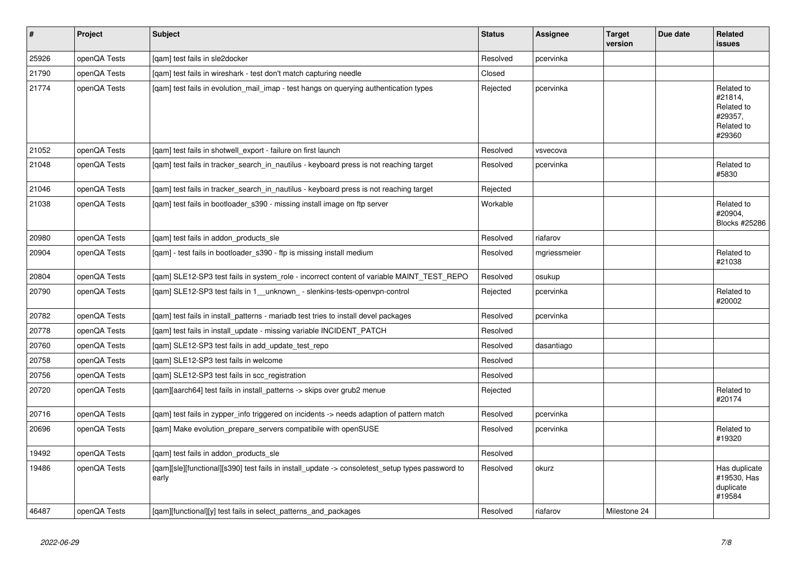| $\vert$ # | Project      | <b>Subject</b>                                                                                            | <b>Status</b> | <b>Assignee</b> | <b>Target</b><br>version | Due date | Related<br>issues                                                      |
|-----------|--------------|-----------------------------------------------------------------------------------------------------------|---------------|-----------------|--------------------------|----------|------------------------------------------------------------------------|
| 25926     | openQA Tests | [gam] test fails in sle2docker                                                                            | Resolved      | pcervinka       |                          |          |                                                                        |
| 21790     | openQA Tests | [gam] test fails in wireshark - test don't match capturing needle                                         | Closed        |                 |                          |          |                                                                        |
| 21774     | openQA Tests | [gam] test fails in evolution mail imap - test hangs on querying authentication types                     | Rejected      | pcervinka       |                          |          | Related to<br>#21814,<br>Related to<br>#29357,<br>Related to<br>#29360 |
| 21052     | openQA Tests | [gam] test fails in shotwell export - failure on first launch                                             | Resolved      | vsvecova        |                          |          |                                                                        |
| 21048     | openQA Tests | [qam] test fails in tracker_search_in_nautilus - keyboard press is not reaching target                    | Resolved      | pcervinka       |                          |          | Related to<br>#5830                                                    |
| 21046     | openQA Tests | [gam] test fails in tracker search in nautilus - keyboard press is not reaching target                    | Rejected      |                 |                          |          |                                                                        |
| 21038     | openQA Tests | [gam] test fails in bootloader s390 - missing install image on ftp server                                 | Workable      |                 |                          |          | Related to<br>#20904,<br>Blocks #25286                                 |
| 20980     | openQA Tests | [gam] test fails in addon products sle                                                                    | Resolved      | riafarov        |                          |          |                                                                        |
| 20904     | openQA Tests | [gam] - test fails in bootloader s390 - ftp is missing install medium                                     | Resolved      | mgriessmeier    |                          |          | Related to<br>#21038                                                   |
| 20804     | openQA Tests | [gam] SLE12-SP3 test fails in system role - incorrect content of variable MAINT TEST REPO                 | Resolved      | osukup          |                          |          |                                                                        |
| 20790     | openQA Tests | [qam] SLE12-SP3 test fails in 1_unknown_- slenkins-tests-openvpn-control                                  | Rejected      | pcervinka       |                          |          | Related to<br>#20002                                                   |
| 20782     | openQA Tests | [gam] test fails in install patterns - mariadb test tries to install devel packages                       | Resolved      | pcervinka       |                          |          |                                                                        |
| 20778     | openQA Tests | [gam] test fails in install update - missing variable INCIDENT PATCH                                      | Resolved      |                 |                          |          |                                                                        |
| 20760     | openQA Tests | [gam] SLE12-SP3 test fails in add update test repo                                                        | Resolved      | dasantiago      |                          |          |                                                                        |
| 20758     | openQA Tests | [qam] SLE12-SP3 test fails in welcome                                                                     | Resolved      |                 |                          |          |                                                                        |
| 20756     | openQA Tests | [qam] SLE12-SP3 test fails in scc_registration                                                            | Resolved      |                 |                          |          |                                                                        |
| 20720     | openQA Tests | [qam][aarch64] test fails in install_patterns -> skips over grub2 menue                                   | Rejected      |                 |                          |          | Related to<br>#20174                                                   |
| 20716     | openQA Tests | [gam] test fails in zypper info triggered on incidents -> needs adaption of pattern match                 | Resolved      | pcervinka       |                          |          |                                                                        |
| 20696     | openQA Tests | [qam] Make evolution_prepare_servers compatibile with openSUSE                                            | Resolved      | pcervinka       |                          |          | Related to<br>#19320                                                   |
| 19492     | openQA Tests | [qam] test fails in addon_products_sle                                                                    | Resolved      |                 |                          |          |                                                                        |
| 19486     | openQA Tests | [qam][sle][functional][s390] test fails in install_update -> consoletest_setup types password to<br>early | Resolved      | okurz           |                          |          | Has duplicate<br>#19530, Has<br>duplicate<br>#19584                    |
| 46487     | openQA Tests | [gam][functional][y] test fails in select patterns and packages                                           | Resolved      | riafarov        | Milestone 24             |          |                                                                        |